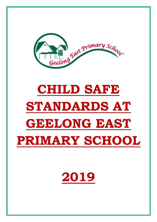

# **CHILD SAFE STANDARDS AT GEELONG EAST PRIMARY SCHOOL**

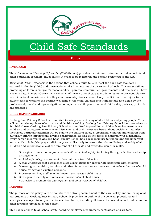

## Child Safe Standards

#### **Policy**

#### **RATIONALE**

The *Education and Training Reform Act (2006* the Act) provides the minimum standards that schools (and other education providers) must satisfy in order to be registered and remain registered in the Act.

*Ministerial Order 870* specifies the actions that schools must take to meet the child safe standards outlined in the *Act (2006*) and these actions take into account the diversity of schools. This order defines protecting children is everyone's responsibility - parents, communities, governments and business all have a role to play. Therefor Government school staff have a duty of care to students by taking reasonable care to avoid acts of omissions which they can reasonably foresee would likely result in harm or injury to the student and to work for the positive wellbeing of the child. All staff must understand and abide by the professional, moral and legal obligations to implement child protection and child safety policies, protocols and practices.

#### **CHILD SAFE STANDARDS**

Geelong East Primary School is committed to safety and wellbeing of all children and young people. This will be the primary focus of our care and decision-making. Geelong East Primary School has zero tolerance for child abuse. Geelong East Primary School is committed to providing a child safe environment where children and young people are safe and feel safe, and their voices are heard about decisions that affect their lives. Particular attention will be paid to the cultural safety of Aboriginal children and children from culturally and/or linguistically diverse backgrounds, as well as the safety of children with a disability. Every person involved in Geelong East Primary School has a responsibility to understand the important and specific role he/she plays individually and collectively to ensure that the wellbeing and safety of all children and young people is at the forefront of all they do and every decision they make.

- 1. Strategies to embed on *organisational culture of child safety*, including through effective leadership arrangements
- 2. A *child safe policy* or statement of commitment to child safety
- 3. A *code of conduct* that establishes clear expectations for appropriate behaviour with children
- 4. Screening, supervision, training and other *human resources practices* that reduce the risk of child abuse by new and existing personnel
- 5. Processes for *Responding to and reporting suspected child abuse*
- 6. Strategies to identify and *reduce or remove risks* of child abuse
- 7. Strategies to promote the *participation and empowerment of children*

#### **PURPOSE**

The purpose of this policy is to demonstrate the strong commitment to the care, safety and wellbeing of all our students at Geelong East Primary School. It provides an outline of the policies, procedures and strategies developed to keep students safe from harm, including all forms of abuse at school, online and in other locations provided by the school.

This policy applies to all school staff, including employees, volunteers, contractors and visitors.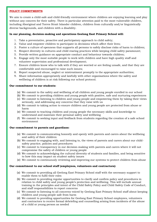#### **POLICY COMMITMENTS**

We aim to create a child-safe and child-friendly environment where children are enjoying learning and play without any concern for their safety. There is particular attention paid to the most vulnerable children, including Aboriginal and Torres Strait Islander children, children from culturally and/or linguistically diverse backgrounds, and children with a disability.

#### **In our planning, decision-making and operations Geelong East Primary School will:**

- 1. Take a preventative, proactive and participatory approach to child safety;
- 2. Value and empower children to participate in decisions which affect their lives;
- 3. Foster a culture of openness that supports all persons to safely disclose risks of harm to children;
- 4. Respect diversity in cultures and child rearing practices while keeping child safety paramount;
- 5. Provide written guidance on appropriate conduct and behaviour towards children;
- 6. Engage only the most suitable people to work with children and have high quality staff and volunteer supervision and professional development;
- 7. Ensure children know who to talk with if they are worried or are feeling unsafe, and that they are comfortable and encouraged to raise such issues;
- 8. Report suspected abuse, neglect or mistreatment promptly to the appropriate authorities;
- 9. Share information appropriately and lawfully with other organisations where the safety and wellbeing of children is at risk following our school protocol.

#### **Our commitment to our students:**

- (a) We commit to the safety and wellbeing of all children and young people enrolled in our school
- (b) We commit to providing children and young people with positive, safe and nurturing experiences
- (c) We commit to listening to children and young people and empowering them by taking their views seriously, and addressing any concerns that they raise with us
- (d) We commit to taking action to ensure children and young people are protected from abuse or harm
- (e) We commit to teaching children and young people the necessary skills and knowledge to understand and maintain their personal safety and wellbeing
- (f) We commit to seeking input and feedback from students regarding the creation of a safe school environment

#### **Our commitment to parents and guardians:**

- (a) We commit to communicating honestly and openly with parents and carers about the wellbeing and safety of their children
- (b) We commit to engaging with, and listening to, the views of parents and carers about our childsafety practice, policies and procedures
- (c) We commit to transparency in our decision-making with parents and carers where it will not compromise the safety of children or young people
- (d) We commit to acknowledging the cultural diversity of students and families, and being sensitive to how this may impact on student safety issues
- (e) We commit to continuously reviewing and improving our systems to protect children from abuse

#### **Our commitment to our school staff (employees, volunteers and contractors):**

- (a) We commit to providing all Geelong East Primary School staff with the necessary support to enable them to fulfil their roles
- (b) We commit to providing regular opportunities to clarify and confirm policy and procedures in relation to child safety and young people's protection and wellbeing. This will include annual training in the principles and intent of the Child Safety Policy and Child Safety Code of Conduct, and staff responsibilities to report concerns
- (c) We commit to listening to all concerns voiced by Geelong East Primary School staff about keeping children and young people safe from harm
- (d) We commit to providing opportunities for Geelong East Primary School employees, volunteers and contractors to receive formal debriefing and counselling arising from incidents of the abuse of a child or young person as needed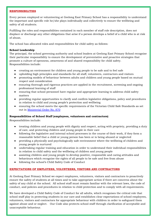#### **RESPONSIBILITIES**

Every person employed or volunteering at Geelong East Primary School has a responsibility to understand the important and specific role he/she plays individually and collectively to ensure the wellbeing and safety of all students.

Fulfilling the roles and responsibilities contained in each member of staff role description, does not displace or discharge any other obligations that arise if a person develops a belief of a child who is at risk of abuse,

The school has allocated roles and responsibilities for child safety as follows:

#### **School Leadership**

The principal, the school governing authority and school leaders at Geelong East Primary School recognise their particular responsibility to ensure the development of preventative and proactive strategies that promote a culture of openness, awareness of and shared responsibility for child safety. Responsibilities include:

- creating an environment for children and young people to be safe and to feel safe
- upholding high principles and standards for all staff, volunteers, contractors and visitors
- promoting models of behaviour between adults and children and young people based on mutual respect and consideration
- ensuring thorough and rigorous practices are applied in the recruitment, screening and ongoing professional learning of staff
- ensuring that school personnel have regular and appropriate learning to address child safety matters
- providing regular opportunities to clarify and confirm legislative obligations, policy and procedures in relation to child and young people's protection and wellbeing
- ensuring the school meets the specific requirements of the Victorian Child Safe Standards as set out in [Ministerial Order No. 870](http://www.gazette.vic.gov.au/gazette/Gazettes2016/GG2016S002.pdf)

#### **Responsibilities of School Staff (employees, volunteers and contractors)**

Responsibilities include:

- treating children and young people with dignity and respect, acting with propriety, providing a duty of care, and protecting children and young people in their care
- following the legislative and internal school processes in the course of their work, if they form a reasonable belief that a child or young person has been or is being abused or neglected
- providing a physically and psychologically safe environment where the wellbeing of children and young people is nurtured
- undertaking regular training and education in order to understand their individual responsibilities in relation to child safety and the wellbeing of children and young people
- assisting children and young people to develop positive, responsible and caring attitudes and behaviours which recognise the rights of all people to be safe and free from abuse
- following the school's Child Safety Code of Conduct

#### **EXPECTATIONS OF EMPLOYEES, VOLUNTEERS, VISITORS AND CONTRACTORS**

At Geelong East Primary School we expect employees, volunteers, visitors and contractors to proactively ensure the safety of students at all times and to take appropriate action if there are concerns about the safety of any child at the school. All school staff must remain familiar with the relevant laws, the code of conduct, and policies and procedures in relation to child protection and to comply with all requirements.

We have developed a Child Safety Code of Conduct for all adults, which recognises the critical role that school staff play in protecting students in our care and establishes clear expectations of school employees, volunteers, visitors and contractors for appropriate behaviour with children in order to safeguard them against abuse and or neglect. Our Code also protects school staff through clarification of acceptable and unacceptable behaviour.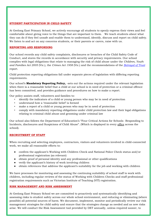#### **STUDENT PARTICIPATION IN CHILD SAFETY**

At Geelong East Primary School, we actively encourage all students to openly express their views and feel comfortable about giving voice to the things that are important to them. We teach students about what they can do if they feel unsafe and enable them to understand, identify, discuss and report on child safety. We listen to and act on any concerns students, or their parents or carers, raise with us.

#### **REPORTING AND RESPONDING**

Our school records any child safety complaints, disclosures or breaches of the Child Safety Code of Conduct, and stores the records in accordance with security and privacy requirements. Our school complies with legal obligations that relate to managing the risk of child abuse under the *Children, Youth and Families Act 2005* (Vic.), the *Crimes Act 1958* (Vic.) and the recommendations of the *[Betrayal of Trust](http://www.parliament.vic.gov.au/fcdc/article/1788)* report.

Child protection reporting obligations fall under separate pieces of legislation with differing reporting requirements.

Our school's **Mandatory Reporting Policy,** -sets out the actions required under the relevant legislation when there is a reasonable belief that a child at our school is in need of protection or a criminal offence has been committed, and provides guidance and procedures on how to make a report.

Our policy assists staff, volunteers and families to:

- identify the indicators of a child or young person who may be in need of protection
- understand how a 'reasonable belief' is formed
- make a report of a child or young person who may be in need of protection
- comply with mandatory reporting obligations under child protection law and their legal obligations relating to criminal child abuse and grooming under criminal law

Our school also follows the Department of Education's "Four Critical Actions for Schools- Responding to Incidents, disclosures and Suspicions of Child Abuse". (Which is displayed in every office across the school).

#### **RECRUITMENT OF STAFF**

When recruiting and selecting employees, contractors, visitors and volunteers involved in child-connected work, we make all reasonable efforts to:

- confirm the applicant's Working with Children Check and National Police Check status and/or professional registration (as relevant)
- obtain proof of personal identity and any professional or other qualifications
- verify the applicant's history of work involving children
- obtain references that address the applicant's suitability for the job and working with children

We have processes for monitoring and assessing the continuing suitability of school staff to work with children, including regular reviews of the status of Working with Children Checks and staff professional registration requirements such as Victorian Institute of Teaching (VIT) registration.

#### **RISK MANAGEMENT AND RISK ASSESSMENT**

At Geelong East Primary School we are committed to proactively and systematically identifying and assessing risks to student safety across our whole school environment, and reducing or eliminating (where possible) all potential sources of harm. We document, implement, monitor and periodically review our risk management strategies for child safety and ensure that the strategies change as needed and as new risks arise. We will conduct the Risk Assessment tool provided by DET annually, unless required sooner, to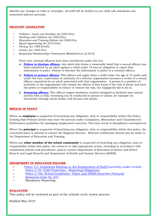identify any changes in risks or strategies. All staff will be briefed on our child safe standards and associated policies annually.

#### **RELEVANT LEGISLATION**

- *Children, Youth and Families Act 2005* (Vic)
- *Working with Children Act 2005* (Vic)
- *Education and Training Reform Act 2006* (Vic)
- *Equal Opportunity Act 2010* (Vic)
- *Privacy Act 1988* (Cwth)
- *Crimes Act 1958* (Vic)
- *Respectful Relationships Framework (Mandated as of 2018)*

Three new criminal offences have been introduced under this Act:

- a) **[Failure to disclose offence:](http://www.justice.vic.gov.au/home/safer%2Bcommunities/protecting%2Bchildren%2Band%2Bfamilies/failure%2Bto%2Bdisclose%2Boffence)** Any adult who forms a reasonable belief that a sexual offence has been committed by an adult against a child under 16 has an obligation to report that information to police. Failure to disclose the information to police is a criminal offence.
- b) **[Failure to protect offence:](http://www.cecv.catholic.edu.au/http:/www.justice.vic.gov.au/home/safer%2Bcommunities/protecting%2Bchildren%2Band%2Bfamilies/failure%2Bto%2Bprotect%2Boffence)** This offence will apply when a child under the age of 16 under and under the care, supervision or authority of a relevant organisation becomes a victim of a sexual offence committed by an adult associated with that organisation. A person in a position of authority in the organisation will commit the offence if they know of the risk of abuse and have the power or responsibility to reduce or remove the risk, but negligently fail to do so.
- i) **[Grooming offence:](http://www.justice.vic.gov.au/home/safer%2Bcommunities/protecting%2Bchildren%2Band%2Bfamilies/grooming%2Boffence)** This offence targets predatory conduct designed to facilitate later sexual activity with a child. Grooming can be conducted in person or online, for example via interaction through social media, web forums and emails.

#### **BREACH OF POLICY**

Where an **employee** is suspected of breaching any obligation, duty or responsibility within this Policy, Geelong East Primary school may start the process under Complaints, Misconduct and Unsatisfactory Performance guidelines for managing employment concerns. This may result in disciplinary consequences.

Where the **principal** is suspected of breaching any obligation, duty or responsibility within this policy, the concerned party is advised to contact the Regional Director. Relevant notification should also be made to the Department of Education and Training.

Where any **other member of the school community** is suspected of breaching any obligation, duty or responsibility within this policy, the school is to take appropriate action, including in accordance with established policies and procedures, and/or contact Department of Education (Conduct and Ethics Branch and Legal Branch) and Department of Health and Human Services (DHHS).

#### **DEPARTMENT OF EDUCATION POLICIES**

- [Policy 2.2: Guidelines Relating to the Employment of Staff](http://www.cem.edu.au/publications-policies/policy/policy-2.2-guidelines-employment-of-staff/) (currently under review)
- [Policy 2.19: Child Protection](http://www.cem.edu.au/publications-policies/policy/policy-2.19-child-protection-repoting-obligations/)  Reporting Obligation[s](http://www.cem.edu.au/publications-policies/policy/policy-2.19-child-protection-repoting-obligations/)
- Policy 2.19a: School Guidelines –[Police and DHHS Interview Protocols](http://www.cem.edu.au/publications-policies/policy/policy-2.19a-police-and-dhhs-interview-protocols/)
- [Ministerial Order No. 870](http://www.gazette.vic.gov.au/gazette/Gazettes2016/GG2016S002.pdf)
- Mandatory Reporting

#### **EVALUATION**

This policy will be reviewed as part of the schools cyclic review process.

Ratified May 2019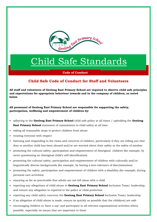

### Child Safe Standards

**Code of Conduct**

#### **Child Safe Code of Conduct for Staff and Volunteers**

**All staff and volunteers of Geelong East Primary School are required to observe child safe principles and expectations for appropriate behaviour towards and in the company of children, as noted below.**

**All personnel of Geelong East Primary School are responsible for supporting the safety, participation, wellbeing and empowerment of children by:**

- adhering to the **Geelong East Primary School** child safe policy at all times / upholding the **Geelong East Primary School** statement of commitment to child safety at all time
- taking all reasonable steps to protect children from abuse
- treating everyone with respect
- listening and responding to the views and concerns of children, particularly if they are telling you that they or another child has been abused and/or are worried about their safety or the safety of another
- promoting the cultural safety, participation and empowerment of Aboriginal children (for example, by never questioning an Aboriginal child's self-identification)
- promoting the cultural safety, participation and empowerment of children with culturally and/or linguistically diverse backgrounds (for example, by having a zero tolerance of discrimination)
- promoting the safety, participation and empowerment of children with a disability (for example, during personal care activities)
- ensuring as far as practicable that adults are not left alone with a child
- reporting any allegations of child abuse to **Geelong East Primary School** Inclusion Team/ leadership, and ensure any allegation to reported to the police or child protection
- reporting any child safety concerns the **Geelong East Primary School** Inclusion Team/ leadership
- if an allegation of child abuse is made, ensure as quickly as possible that the child(ren) are safe
- encouraging children to 'have a say' and participate in all relevant organisational activities where possible, especially on issues that are important to them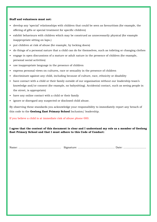#### **Staff and volunteers must not:**

- develop any 'special' relationships with children that could be seen as favouritism (for example, the offering of gifts or special treatment for specific children)
- exhibit behaviours with children which may be construed as unnecessarily physical (for example inappropriate sitting on laps.)
- put children at risk of abuse (for example, by locking doors)
- do things of a personal nature that a child can do for themselves, such as toileting or changing clothes
- engage in open discussions of a mature or adult nature in the presence of children (for example, personal social activities)
- use inappropriate language in the presence of children
- express personal views on cultures, race or sexuality in the presence of children
- discriminate against any child, including because of culture, race, ethnicity or disability
- have contact with a child or their family outside of our organisation without our leadership team's knowledge and/or consent (for example, no babysitting). Accidental contact, such as seeing people in the street, is appropriate)
- have any online contact with a child or their family
- ignore or disregard any suspected or disclosed child abuse.

By observing these standards you acknowledge your responsibility to immediately report any breach of this code to the **Geelong East Primary School** Inclusion/ leadership.

#### If you believe a child is at immediate risk of abuse phone 000.

**I agree that the content of this document is clear and I understand my role as a member of Geelong East Primary School and that I must adhere to this Code of Conduct:**

Name: ………………………………............. Signature: …………………………………… Date: ……………………..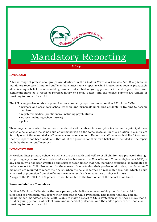

### Mandatory Reporting

**Policy** 

#### **RATIONALE**

A broad range of professional groups are identified in the *Children Youth and Families Act 2005* (CYFA) as mandatory reporters. Mandated staff members must make a report to Child Protection as soon as practicable after forming a belief, on reasonable grounds, that a child or young person is in need of protection from significant harm as a result of physical injury or sexual abuse, and the child's parents are unable or unwilling to protect the child.

The following professionals are prescribed as mandatory reporters under section 182 of the CYFA:

- primary and secondary school teachers and principals (including students in training to become teachers)
- registered medical practitioners (including psychiatrists)
- nurses (including school nurses)
- police.

There may be times when two or more mandated staff members, for example a teacher and a principal, have formed a belief about the same child or young person on the same occasion. In this situation it is sufficient for only one of the mandated staff members to make a report. The other staff member is obliged to ensure that the report has been made and that all of the grounds for their own belief were included in the report made by the other staff member.

#### **IMPLEMENTATION**

At Geelong East primary School we will ensure the health and welfare of all children are protected through supporting any person who is registered as a teacher under the *Education and Training Reform Act 2006*, or any person who has been granted permission to teach under that Act, including principals, is mandated to make a report to Child Protection. In the course of undertaking their professional duties, mandated staff members are required to report their belief, when the belief is formed on reasonable grounds, which a child is in need of protection from significant harm as a result of sexual abuse or physical injury. A copy of the PROTECT DET procedure will be visible at the front office of the school at all times.

#### **Non-mandated staff members**

Section 183 of the CYFA states that **any person,** who believes on reasonable grounds that a child is in need of protection, may report their concerns to Child Protection. This means that any person, including non-mandated school staff, is able to make a report to Child Protection when they believe that a child or young person is at risk of harm and in need of protection, and the child's parents are unable or unwilling to protect the child.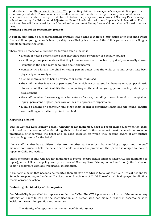Under the current [Ministerial Order No. 870](http://www.gazette.vic.gov.au/gazette/Gazettes2016/GG2016S002.pdf) , protecting children is **everyone's** responsibility- parents, community and staff. Those members of staff who are not mandated to report (except sexual offences where ALL are mandated to report), do have to follow the policy and procedures of Geelong East Primary school and notify the Educational Adjustment Team/ Leadership with any 'reportable' information. The staff member will be advised by the Educational Adjustment Team/ Leadership on what will need to occur next.

#### **Forming a belief on reasonable grounds**

A person may form a belief on reasonable grounds that a child is in need of protection after becoming aware that a child or young person's health, safety or wellbeing is at risk and the child's parents are unwilling or unable to protect the child.

There may be reasonable grounds for forming such a belief if:

- a child or young person states that they have been physically or sexually abused
- a child or young person states that they know someone who has been physically or sexually abused (sometimes the child may be talking about themselves)
- someone who knows the child or young person states that the child or young person has been physically or sexually abused
- a child shows signs of being physically or sexually abused.
- the staff member is aware of persistent family violence or parental substance misuse, psychiatric illness or intellectual disability that is impacting on the child or young person's safety, stability or development
- the staff member observes signs or indicators of abuse, including non-accidental or unexplained injury, persistent neglect, poor care or lack of appropriate supervision
- a child's actions or behaviour may place them at risk of significant harm and the child's parents are unwilling or unable to protect the child.

#### **Reporting a belief**

Staff at Geelong East Primary School, whether or not mandated, need to report their belief when the belief is formed in the course of undertaking their professional duties. A report must be made as soon as practicable after forming the belief and on each occasion on which they become aware of any further reasonable grounds for the belief.

If one staff member has a different view from another staff member about making a report and the staff member continues to hold the belief that a child is in need of protection, that person is obliged to make a report to Child Protection.

Those members of staff who are not mandated to report (except sexual offences where ALL are mandated to report), must follow the policy and procedures of Geelong East Primary school and notify the Inclusion Team/ Leadership with any 'reportable' information.

If you form a belief that needs to be reported then all staff are advised to follow the "Four Critical Actions for Schools: responding to Incidents, Disclosures or Suspicions of Child Abuse" which is displayed in all office rooms across the school.

#### **Protecting the identity of the reporter**

Confidentiality is provided for reporters under the CYFA. The CYFA prevents disclosure of the name or any information likely to lead to the identification of a person who has made a report in accordance with legislation, except in specific circumstances.

The identity of a reporter must remain confidential unless: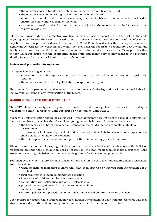- the reporter chooses to inform the child, young person or family of the report
- the reporter consents in writing to their identity being disclosed
- a court or tribunal decides that it is necessary for the identity of the reporter to be disclosed to ensure the safety and wellbeing of the child
- a court or tribunal decides that, in the interests of justice, the reporter is required to attend court to provide evidence.

Information provided during a protective investigation may be used in a court report if the risks to the child or young person require the case to proceed to court. In these circumstances, the source of the information may be required to provide evidence to the court. If Child Protection decides that the report is about a significant concern for the wellbeing of a child, they may refer the report to a community-based child and family service and disclose the identity of the reporter to that service. However, the CYFA provides that neither Child Protection nor the community-based child and family service may disclose the reporter's identity to any other person without the reporter's consent.

#### **Professional protection for reporters**

If a report is made in good faith:

- it does not constitute unprofessional conduct or a breach of professional ethics on the part of the reporter
- the reporter cannot be held legally liable in respect of the report.

This means that a person who makes a report in accordance with the legislation will not be held liable for the eventual outcome of any investigation of the report.

#### **MAKING A REPORT TO CHILD PROTECTION**

The CYFA allows for two types of reports to be made in relation to significant concerns for the safety or wellbeing of a child – a report to Child Protection or a referral to Child FIRST.

A report to Child Protection should be considered if, after taking into account all of the available information, the staff member forms a view that the child or young person is in need of protection because:

- the harm or risk of harm has a serious impact on the child's immediate safety, stability or development
- the harm or risk of harm is persistent and entrenched and is likely to have a serious impact on the child's safety, stability or development
- the child's parents cannot or will not protect the child or young person from harm.

Where during the course of carrying out their normal duties, a school staff member forms the belief on reasonable grounds that a child is in need of protection, the staff member must make a report to Child Protection regarding this belief and the reasonable grounds for it as soon as practicable.

Staff members may form a professional judgement or belief, in the course of undertaking their professional duties based on:

- warning signs or indicators of harm that have been observed or inferred from information about the child
- legal requirements, such as mandatory reporting
- knowledge of child and adolescent development
- consultation with colleagues and other professionals
- professional obligations and duty-of-care responsibilities
- established protocols
- internal policies and procedures in an individual licensed children's service or school.

Upon receipt of a report, Child Protection may seek further information, usually from professionals who may also be involved with the child or family, to determine whether further action is required.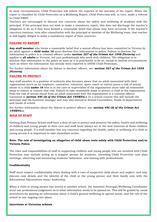In most circumstances, Child Protection will inform the reporter of the outcome of the report. When the report is classified by Child Protection as a Wellbeing Report, Child Protection will, in turn, make a referral to Child FIRST.

Teachers are encouraged to discuss any concerns about the safety and wellbeing of students with the principal. If the principal does not wish to make a mandatory report, this does not discharge the teacher's obligation to do so if they have formed a reasonable belief that abuse may have occurred. If the teacher's concerns continue, even after consultation with the principal or member of the Wellbeing team, that teacher is still legally obliged to make a mandatory report of their concerns.

#### **FAILURE TO REPORT**

**Any staff member** who forms a reasonable belief that a sexual offence has been committed in Victoria by an adult against a **child under 16** must disclose that information to police. Failure to disclose the information to police is a criminal offence under **section** *327 of the Crimes Act 1958 (Victoria)* and applies to **all adults** in Victoria, not just professionals who work with children. The obligation is to disclose that information to the police as soon as it is practicable to do so, except in limited circumstances such as where the information has already been reported to DHHS Child Protection.

For further information about the 'failure to disclose' offence, see*:* **section** *327 of the Crimes Act 1958 (Victoria)*

#### **FAILURE TO PROTECT**

Any staff member in a position of authority who becomes aware that an adult associated with their organisation (such as an employee, contractor, volunteer, sport coach or visitor) poses a risk of sexual abuse to a child **under 16** who is in the care or supervision of the organisation must take all reasonable steps to reduce or remove that risk. Failure to take reasonable steps to protect a child in the organisation from the risk of sexual abuse from an adult associated with the organisation is a criminal offence contained in **section** *49C (2) of the Crimes Act 1958***(Vic.)**. In a school context this will include the principal and the business manager and may also extend to School Counsellors, heads of departments and heads of school.

For further information about the 'failure to protect' offence, see*:* **section** *49C (2) of the Crimes Act 1958***(Vic.)**

#### **ROLE OF STAFF**

Geelong East Primary School staff have a duty of care to protect and preserve the safety, health and wellbeing of children and young people in their care and staff must always act in the best interests of those children and young people. If a staff member has any concerns regarding the health, safety or wellbeing of a child or young person it is important to take immediate action.

#### **Note: The role of investigating an allegation of child abuse rests solely with Child Protection and/or Victoria Police.**

The roles and responsibilities of staff in supporting children and young people who are involved with Child Protection may include acting as a support person for students, attending Child Protection case plan meetings, observing and monitoring students' behaviour, and liaising with professionals.

#### **Confidentiality**

Staff must respect confidentiality when dealing with a case of suspected child abuse and neglect, and may discuss case details and the identity of the child or the young person and their family only with the Educational Adjustments team/ leadership.

When a child or young person has moved to another school, the Assistant Principal/Wellbeing Coordinator must use professional judgement as to what information needs to be passed on. This will be guided by usual procedures for passing on information about a child's general wellbeing or special needs, and the role of the school in any ongoing care plans.

#### **Interviews at Victorian schools**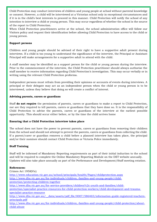Child Protection may conduct interviews of children and young people at school without parental knowledge or consent. However, a child will be interviewed at a Victorian school only in exceptional circumstances and if it is in the child's best interests to proceed in this manner. Child Protection will notify the school of any intention to interview a child or young person. This may occur regardless of whether the school is the source of the report to Child Protection.

When Child Protection practitioners arrive at the school, the school administration office will follow our Visitors policy and request their identification before allowing Child Protection to have access to the child or young person.

#### **Support persons**

Children and young people should be advised of their right to have a supportive adult present during interviews. If a child is too young to understand the significance of the interview, the Principal or Assistant Principal will make arrangements for a supportive adult to attend with the child.

A staff member may be identified as a support person for the child or young person during the interview. Prior to the commencement of the interview, the Child Protection practitioner should always authorise the staff member to receive information regarding Child Protection's investigation. This may occur verbally or in writing using the relevant Child Protection proforma.

Independent persons must refrain from providing their opinions or accounts of events during interviews. A principal or their delegate may act as an independent person when the child or young person is to be interviewed, unless they believe that doing so will create a conflict of interest.

#### **Advising parents, carers or guardians**

Staff **do not require** the permission of parents, carers or guardians to make a report to Child Protection, nor are they required to tell parents, carers or guardians that they have done so. It is the responsibility of Child Protection to advise the parents, carers or guardians of the interview at the earliest possible opportunity. This should occur either before, or by the time the child arrives home

#### **Ensuring that a Child Protection interview takes place**

The school does not have the power to prevent parents, carers or guardians from removing their children from the school and should not attempt to prevent the parents, carers or guardians from collecting the child. If a parent/carer or guardian removes a child before a planned interview has taken place, the principal and/or their nominee should contact Child Protection or Victoria Police immediately.

#### **Staff Training**

Staff will be informed of Mandatory Reporting requirements as part of their initial induction to the school and will be required to complete the Online Mandatory Reporting Module on the DET website annually. Updates will also take place annually as part of the Performance and Development/Staff meeting rotation.

#### **References:**

Crimes Act 1958(Vic) <http://www.education.vic.gov.au/school/principals/health/Pages/childprotection.aspx> [http://www.dhs.vic.gov.au/for-individuals/children,-families-and-young-people/child](http://www.dhs.vic.gov.au/for-individuals/children,-families-and-young-people/child-protection/protecting-children-together)[protection/protecting-children-together](http://www.dhs.vic.gov.au/for-individuals/children,-families-and-young-people/child-protection/protecting-children-together) [http://www.dhs.vic.gov.au/for-service-providers/children%2c-youth-and-families/child](http://www.dhs.vic.gov.au/for-service-providers/children%2c-youth-and-families/child-protection/specialist-practice-resources-for-child-protection-workers/child-development-and-trauma-specialist-practice-resource)[protection/specialist-practice-resources-for-child-protection-workers/child-development-and-trauma](http://www.dhs.vic.gov.au/for-service-providers/children%2c-youth-and-families/child-protection/specialist-practice-resources-for-child-protection-workers/child-development-and-trauma-specialist-practice-resource)[specialist-practice-resource](http://www.dhs.vic.gov.au/for-service-providers/children%2c-youth-and-families/child-protection/specialist-practice-resources-for-child-protection-workers/child-development-and-trauma-specialist-practice-resource) [http://www.dhs.vic.gov.au/\\_\\_data/assets/pdf\\_file/0007/586465/information-guide-registered-teachers](http://www.dhs.vic.gov.au/__data/assets/pdf_file/0007/586465/information-guide-registered-teachers-principals.pdf)[principals.pdf](http://www.dhs.vic.gov.au/__data/assets/pdf_file/0007/586465/information-guide-registered-teachers-principals.pdf) [http://www.dhs.vic.gov.au/for-individuals/children,-families-and-young-people/child-protection/about](http://www.dhs.vic.gov.au/for-individuals/children,-families-and-young-people/child-protection/about-child-abuse)[child-abuse](http://www.dhs.vic.gov.au/for-individuals/children,-families-and-young-people/child-protection/about-child-abuse)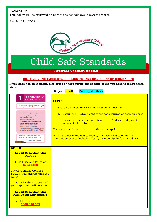#### **EVALUATION**

This policy will be reviewed as part of the schools cyclic review process.

Ratified May 2019



### Child Safe Standards

**Reporting Checklist for Staff**

#### **RESPONDING TO INCIDENTS, DISCLOSURES AND SUSPICIONS OF CHILD ABUSE**

**If you have had an incident, disclosure or have suspicions of child abuse you need to follow these steps.** 

|                                                                                                                                                                                                                                                                                                                                                                                                                                                 | <b>Principal Class</b><br>Key= Staff                                                                                                                                                                                                                                     |  |  |
|-------------------------------------------------------------------------------------------------------------------------------------------------------------------------------------------------------------------------------------------------------------------------------------------------------------------------------------------------------------------------------------------------------------------------------------------------|--------------------------------------------------------------------------------------------------------------------------------------------------------------------------------------------------------------------------------------------------------------------------|--|--|
| <b>RESPONDING TO</b><br><b>AN EMERGENCY</b>                                                                                                                                                                                                                                                                                                                                                                                                     | <b>STEP 1:</b>                                                                                                                                                                                                                                                           |  |  |
| If there is no risk of immediate<br>harm go to Action 2.                                                                                                                                                                                                                                                                                                                                                                                        | If there is no immediate risk of harm then you need to:                                                                                                                                                                                                                  |  |  |
| If a child is at immediate risk of harm<br>you must ensure their safety by:<br>• separating alleged victims<br>and others involved<br>· administering first aid<br>· calling 000 for urgent medical<br>and/or police assistance<br>to respond to immediate<br>health or safety concerns<br>• identifying a contact person at the<br>school for future liaison with Police.<br>Where necessary you may also<br>need to maintain the integrity of | 1. Document OBJECTIVELY what has occurred or been disclosed<br>2. Document the students Date of Birth, Address and parent<br>names of all involved<br>If you are mandated to report continue to step 2<br>*If you are not mandated to report, then you need to hand this |  |  |
| the potential crime scene and<br>preserve evidence.                                                                                                                                                                                                                                                                                                                                                                                             | information over to Inclusion Team/ Leadership for further advice.                                                                                                                                                                                                       |  |  |
| <b>STEP 2:</b>                                                                                                                                                                                                                                                                                                                                                                                                                                  |                                                                                                                                                                                                                                                                          |  |  |
| <b>ABUSE IS WITHIN THE</b><br><b>SCHOOL</b>                                                                                                                                                                                                                                                                                                                                                                                                     |                                                                                                                                                                                                                                                                          |  |  |
| 1. Call Geelong Police on<br>5225 3100                                                                                                                                                                                                                                                                                                                                                                                                          |                                                                                                                                                                                                                                                                          |  |  |
| 2. Record Intake worker's<br>FULL NAME and the time you<br>called.                                                                                                                                                                                                                                                                                                                                                                              |                                                                                                                                                                                                                                                                          |  |  |
| 3. Inform Leadership team of<br>your report immediately after                                                                                                                                                                                                                                                                                                                                                                                   |                                                                                                                                                                                                                                                                          |  |  |
| <b>ABUSE IS WITHIN THE</b><br><b>FAMILY OR COMMUNITY</b>                                                                                                                                                                                                                                                                                                                                                                                        |                                                                                                                                                                                                                                                                          |  |  |
| 1. Call DHHS on<br>1800 075 599                                                                                                                                                                                                                                                                                                                                                                                                                 |                                                                                                                                                                                                                                                                          |  |  |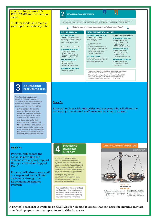

completely prepared for the report to authorities/agencies.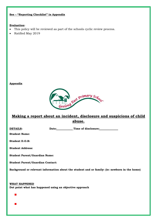#### **See – "Reporting Checklist" in Appendix**

#### **Evaluation:**

- This policy will be reviewed as part of the schools cyclic review process.
- Ratified May 2019

#### **Appendix**



#### **Making a report about an incident, disclosure and suspicions of child abuse.**

**DETAILS:** Date: Date: Time of disclosure:

**Student Name:**

**Student D.O.B:**

**Student Address:**

**Student Parent/Guardian Name:**

**Student Parent/Guardian Contact:**

**Background or relevant information about the student and or family: (ie: newborn in the home)**

**WHAT HAPPENED Dot point what has happened using an objective approach**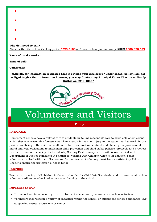

Abuse within the school Geelong police **5225 3100** or Abuse in family/community DHHS **1800 075 599**

**Name of intake worker:**

**Time of call:**

**Comments:**

**MANTRA for information requested that is outside your disclosure-"Under school policy I am not obliged to give that information however, you may Contact my Principal Karen Chaston or Mandy Duthie on 5248 4885"**



### Volunteers and Visitors

**Policy**

#### **RATIONALE**

Government schools have a duty of care to students by taking reasonable care to avoid acts of omissions which they can reasonably foresee would likely result in harm or injury to the student and to work for the positive wellbeing of the child. All staff and volunteers must understand and abide by the professional, moral and legal obligations to implement child protection and child safety policies, protocols and practices. In order to ensure the safety of all students, Geelong East Primary School will follow the DET and Department of Justice guidelines in relation to Working with Children Checks. In addition, school volunteers involved with the collection and/or management of money must have a satisfactory Police Check to ensure the protection of those funds.

#### **PURPOSE**

To ensure the safety of all children in the school under the Child Safe Standards, and to make certain school volunteers adhere to school guidelines when helping in the school.

#### **IMPLEMENTATION**

- The school wants to encourage the involvement of community volunteers in school activities.
- Volunteers may work in a variety of capacities within the school, or outside the school boundaries. E.g. at sporting events, excursions or camps.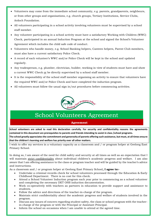- Volunteers may come from the immediate school community, e.g. parents, grandparents, neighbours, or from other groups and organisations, e.g. church groups, Tertiary Institutions, Service Clubs, Ardoch Foundation.
- All volunteers participating in a school activity involving volunteers must be supervised by a school staff member.
- Any volunteer participating in a school activity must have a satisfactory Working with Children (WWC) Check, participated in an annual Induction Program at the school and signed the School's Volunteer Agreement which includes the child safe code of conduct.
- Volunteers who handle money, e.g. School Banking helpers, Canteen helpers, Parent Club members, must also have a current satisfactory Police Check.
- A record of each volunteer's WWC and/or Police Check will be kept in the school and updated regularly.
- Any tradesperson, e.g. plumber, electrician, builder, working in view of students must have and show a current WWC Check or be directly supervised by a school staff member.
- It is the responsibility of the school staff member organising an activity to ensure that volunteers have the required WWC and/or Police Check and have completed the induction program.
- All volunteers must follow the usual sign in/out procedures before commencing activities.



### School Volunteers Agreement

#### **Agreement**

**School volunteers are asked to read this declaration carefully. For security and confidentiality reasons the agreements contained in this document are prerequisites to parents and friends intending to assist in class /school programs. The school greatly appreciates the commitment and generosity of parents offering such assistance, but must, at all times ensure that the children's learning and welfare has priority over all other matters.**

I wish to offer my services in a voluntary capacity as a classroom and / or program helper at Geelong East Primary School.

In doing so, I am aware of the need for child safety and security at all times as well as an expectation that I will maintain strict confidentiality about individual children's academic progress and welfare. I am also aware that I am offering assistance to the class or program teacher and will be guided by the teacher's advice and instructions.

As a classroom and / or program helper at Geelong East Primary School**, I agree to:-**

- Undertake a criminal records check for school volunteers processed through the Education & Early Childhood Department. There is no cost for this check.
- Attend a School Volunteer Induction program each year prior to commencing as a school volunteer and completing the necessary DET OHS induction documentation.
- Work co-operatively with teachers as partners in education to provide support and assistance to students.
- Follow the advice and directions of the teacher-in-charge of the program.
- Maintain strict confidentiality about the academic progress and welfare of students involved in the program.
- Discuss any issues of concern regarding student safety, the class or school program with the teacherin-charge of the program or with the Principal or Assistant Principal.
- Inform the school on occasions when I am unable to attend at the agreed time.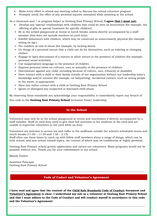- Make every effort to attend any meeting called to discuss the school volunteer program.
- Promptly notify the office of any personal injuries sustained while assisting in the school.

As a classroom and / or program helper at Geelong East Primary School, **I agree that I must not:**

- Develop any 'special' relationships with children that could be seen as favouritism (for example, the offering of gifts or special treatment for specific children)
- Be in the school playground at recess or lunch breaks unless directly accompanied by a staff member (this does not include teachers on yard duty)
- Exhibit behaviours with children, which may be construed as unnecessarily physical (for example sitting on lap.)
- Put children at risk of abuse (for example, by locking doors)
- Do things of a personal nature that a child can do for themselves, such as toileting or changing clothes
- Engage in open discussions of a mature or adult nature in the presence of children (for example, personal social activities)
- Use inappropriate language in the presence of children
- Express personal views on cultures, race or sexuality in the presence of children
- Discriminate against any child, including because of culture, race, ethnicity or disability
- Have contact with a child or their family outside of our organisation without our leadership team's knowledge and/or consent (for example, no babysitting). Accidental contact, such as seeing people in the street, is appropriate)
- Have any online contact with a child at Geelong East Primary School
- Ignore or disregard any suspected or disclosed child abuse.

By observing these standards you acknowledge your responsibility to immediately report any breach of

this code to the **Geelong East Primary School** Inclusion Team/ leadership.

#### **In the School**

Volunteers may only be in the school playground at recess and lunchtimes if directly accompanied by a staff member. Staff on yard duty need to give their full attention to the students in the yard and are unable to supervise volunteers in the yard while on duty.

Volunteers are welcome to access tea and coffee in the staffroom outside the school's scheduled recess and lunch breaks (11:00 – 11:30 and 1:30 – 2:15).

Staff often use these times to catch up with fellow staff members about a range of things, which can be both school, and non-school related topics, the content of which may be confidential or highly personal.

Geelong East Primary school greatly appreciates and values our volunteers. Many programs would not be possible without you. Thank you for your commitment to our school.

Mandy Duthie

Assistant Principal Geelong East Primary School

**Code of Coduct and Volunteer's Agreement** 

--------------------------------------------------------------------------------------------------------------------------------

**I have read and agree that the content of the Child Safe Standards Code of Conduct document and Volunteer's Agreement is clear. I understand my role as a volunteer at Geelong East Primary School and that I must adhere to the Code of Conduct and will conduct myself in accordance to this code and the Volunteer's Agreement:**

---------------------------------------------------------------------------------------------------------------------------------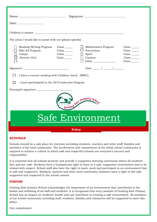| The areas I would like to assist with are (please specify):                                                                                                          |                                                                                                                           |                                                                                     |                                                                                                                                                        |  |  |
|----------------------------------------------------------------------------------------------------------------------------------------------------------------------|---------------------------------------------------------------------------------------------------------------------------|-------------------------------------------------------------------------------------|--------------------------------------------------------------------------------------------------------------------------------------------------------|--|--|
| Reading/Writing Program<br>Bike Ed Program<br>$\Box$ Camps<br>Parents Club                                                                                           | $Class$ <sub>_________</sub><br>$Class$ <sub>________</sub><br>$Class$ <sub>________</sub><br>$Class$ <sub>________</sub> | $\Box$ Mathematics Program<br>$\Box$ Excursions<br>$\Box$ Sport<br>Canteen<br>Other | $Class$ <sub>________</sub><br>$Class$ <sub>________</sub><br>$Class$ <sub>_________</sub><br>$Class$ <sub>_______</sub><br>$Class$ <sub>_______</sub> |  |  |
| Date $\frac{1}{\sqrt{1-\frac{1}{2}}}\sqrt{1-\frac{1}{2}}$<br>I have a current working with Children check (WWC)<br>I have participated in the 2019 Induction Program |                                                                                                                           |                                                                                     |                                                                                                                                                        |  |  |
| <b>Sust Primary Sch</b>                                                                                                                                              |                                                                                                                           |                                                                                     |                                                                                                                                                        |  |  |
| Safe Environment                                                                                                                                                     |                                                                                                                           |                                                                                     |                                                                                                                                                        |  |  |
| <b>Policy</b>                                                                                                                                                        |                                                                                                                           |                                                                                     |                                                                                                                                                        |  |  |

#### **RATIONALE**

Schools should be a safe place for everyone including students, teachers and other staff, families and members of the local community. The involvement and commitment of the whole school community is required to achieve a culture in which safe and respectful schools are everyone's concern and responsibility.

It is essential that all schools promote and provide a supportive learning community where all students feel, and are, safe. Students have a fundamental right to learn in a safe, supportive environment and to be treated with respect. School staff also have the right to teach, work and participate in an environment that is safe and supportive. Similarly, parents and other local community members have a right to feel safe, supported and respected in the school context.

#### **PURPOSE**

Geelong East primary School acknowledges the importance of an environment that contributes to the health and wellbeing of all staff and students. It is recognised that every member of Geelong East Primary School has an impact on students' health and can contribute to creating a safe environment. All members of our school community including staff, students, families and volunteers will be supported to meet this policy.

Our commitment: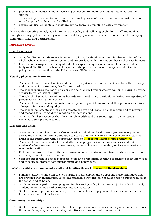- provide a safe, inclusive and empowering school environment for students, families, staff and visitors
- deliver safety education in one or more learning key areas of the curriculum as a part of a whole school approach to health and wellbeing
- ensure families, students and staff are key partners in promoting a safe environment

• As a health promoting school, we will promote the safety and wellbeing of children, staff and families through learning, policies, creating a safe and healthy physical and social environment, and developing community links and partnerships.

#### **IMPLEMENTATION**

#### **Healthy policies**

- Staff, families and students are involved in guiding the development and implementation of the whole-school safe environment policy and are provided with information about policy requirements.
- If a student is suspected of being at risk of or experiencing social, emotional, behavioural or bullying difficulties the school will implement the positive behaviour policy or student welfare policy under the direction of the Principals and Welfare team.

#### **Healthy physical environment**

- The school provides a welcoming and inclusive physical environment, which reflects the diversity and interests of the students, families and staff.
- The school ensures the use of appropriate and properly fitted protective equipment during physical activity to reduce risk of injury.
- The school takes action to minimise hazards from road traffic, particularly during pick up, drop off periods and other high risk times.
- The school provides a safe, inclusive and empowering social environment that promotes a culture of respect, fairness and equality.
- The school implements strategies to promote positive and responsible behaviour and to prevent and respond to bullying, discrimination and harassment.
- Staff and families recognise that they are role models and are encouraged to demonstrate behaviours that promote safety.

#### **Learning and skills**

- Social and emotional learning, safety education and related health messages are incorporated across the curriculum from Foundation to year 6 and are delivered in one or more key learning areas of the curriculum with a particular focus on Respectful Relationships Framework.
- The school provides a curriculum and alternative programs that actively engages and builds students' self-awareness, social awareness, responsible decision making, self-management and relationship skills.
- Collaborative group activities that encourage inclusion, participation, team-work and cooperation are incorporated in the curriculum.
- Staff are supported to access resources, tools and professional learning to enhance their knowledge and capacity to promote safe environments and behaviours.

#### **Engaging children, young people, staff and families through Respectful Relationships**

- Families, students and staff are key partners in developing and supporting safety initiatives and are provided with information, ideas and practical strategies on a regular basis to support safety in the school and at home.
- Students are engaged in developing and implementing safety initiatives via junior school council, student action teams or other representative structures.
- Staff are encouraged to develop competencies to facilitate engagement of families and students from diverse cultural backgrounds.

#### **Community partnerships**

• Staff are encouraged to work with local health professionals, services and organisations to increase the school's capacity to deliver safety initiatives and promote safe environments.